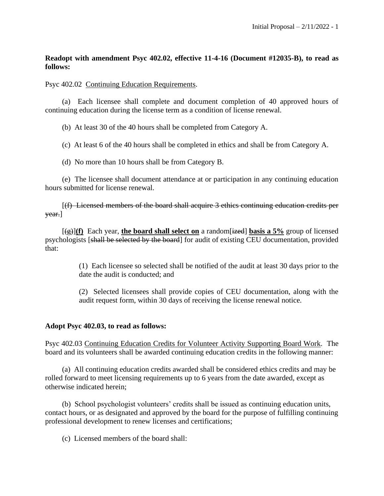## **Readopt with amendment Psyc 402.02, effective 11-4-16 (Document #12035-B), to read as follows:**

Psyc 402.02 Continuing Education Requirements.

(a) Each licensee shall complete and document completion of 40 approved hours of continuing education during the license term as a condition of license renewal.

(b) At least 30 of the 40 hours shall be completed from Category A.

(c) At least 6 of the 40 hours shall be completed in ethics and shall be from Category A.

(d) No more than 10 hours shall be from Category B.

(e) The licensee shall document attendance at or participation in any continuing education hours submitted for license renewal.

[(f) Licensed members of the board shall acquire 3 ethics continuing education credits per year.]

 $[\frac{1}{2}](f)$  Each year, the board shall select on a random  $[\frac{1}{2}](f)$  basis a 5% group of licensed psychologists [shall be selected by the board] for audit of existing CEU documentation, provided that:

> (1) Each licensee so selected shall be notified of the audit at least 30 days prior to the date the audit is conducted; and

> (2) Selected licensees shall provide copies of CEU documentation, along with the audit request form, within 30 days of receiving the license renewal notice.

## **Adopt Psyc 402.03, to read as follows:**

Psyc 402.03 Continuing Education Credits for Volunteer Activity Supporting Board Work. The board and its volunteers shall be awarded continuing education credits in the following manner:

(a) All continuing education credits awarded shall be considered ethics credits and may be rolled forward to meet licensing requirements up to 6 years from the date awarded, except as otherwise indicated herein;

(b) School psychologist volunteers' credits shall be issued as continuing education units, contact hours, or as designated and approved by the board for the purpose of fulfilling continuing professional development to renew licenses and certifications;

(c) Licensed members of the board shall: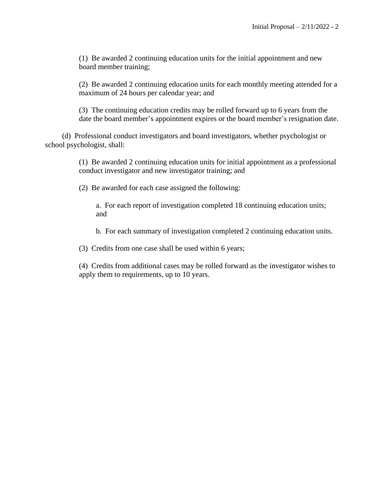(1) Be awarded 2 continuing education units for the initial appointment and new board member training;

(2) Be awarded 2 continuing education units for each monthly meeting attended for a maximum of 24 hours per calendar year; and

(3) The continuing education credits may be rolled forward up to 6 years from the date the board member's appointment expires or the board member's resignation date.

(d) Professional conduct investigators and board investigators, whether psychologist or school psychologist, shall:

> (1) Be awarded 2 continuing education units for initial appointment as a professional conduct investigator and new investigator training; and

(2) Be awarded for each case assigned the following:

a. For each report of investigation completed 18 continuing education units; and

b. For each summary of investigation completed 2 continuing education units.

(3) Credits from one case shall be used within 6 years;

(4) Credits from additional cases may be rolled forward as the investigator wishes to apply them to requirements, up to 10 years.